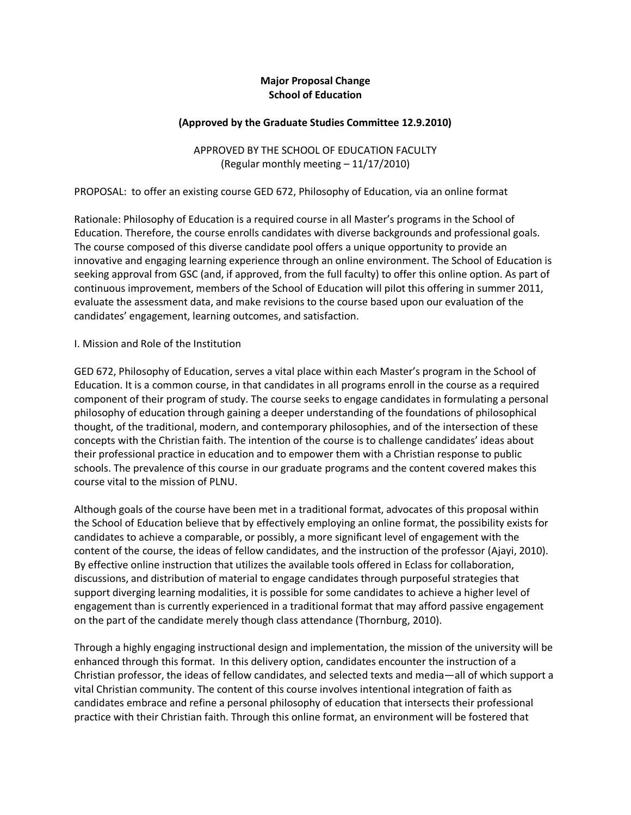## **Major Proposal Change School of Education**

#### **(Approved by the Graduate Studies Committee 12.9.2010)**

APPROVED BY THE SCHOOL OF EDUCATION FACULTY (Regular monthly meeting – 11/17/2010)

PROPOSAL: to offer an existing course GED 672, Philosophy of Education, via an online format

Rationale: Philosophy of Education is a required course in all Master's programs in the School of Education. Therefore, the course enrolls candidates with diverse backgrounds and professional goals. The course composed of this diverse candidate pool offers a unique opportunity to provide an innovative and engaging learning experience through an online environment. The School of Education is seeking approval from GSC (and, if approved, from the full faculty) to offer this online option. As part of continuous improvement, members of the School of Education will pilot this offering in summer 2011, evaluate the assessment data, and make revisions to the course based upon our evaluation of the candidates' engagement, learning outcomes, and satisfaction.

#### I. Mission and Role of the Institution

GED 672, Philosophy of Education, serves a vital place within each Master's program in the School of Education. It is a common course, in that candidates in all programs enroll in the course as a required component of their program of study. The course seeks to engage candidates in formulating a personal philosophy of education through gaining a deeper understanding of the foundations of philosophical thought, of the traditional, modern, and contemporary philosophies, and of the intersection of these concepts with the Christian faith. The intention of the course is to challenge candidates' ideas about their professional practice in education and to empower them with a Christian response to public schools. The prevalence of this course in our graduate programs and the content covered makes this course vital to the mission of PLNU.

Although goals of the course have been met in a traditional format, advocates of this proposal within the School of Education believe that by effectively employing an online format, the possibility exists for candidates to achieve a comparable, or possibly, a more significant level of engagement with the content of the course, the ideas of fellow candidates, and the instruction of the professor (Ajayi, 2010). By effective online instruction that utilizes the available tools offered in Eclass for collaboration, discussions, and distribution of material to engage candidates through purposeful strategies that support diverging learning modalities, it is possible for some candidates to achieve a higher level of engagement than is currently experienced in a traditional format that may afford passive engagement on the part of the candidate merely though class attendance (Thornburg, 2010).

Through a highly engaging instructional design and implementation, the mission of the university will be enhanced through this format. In this delivery option, candidates encounter the instruction of a Christian professor, the ideas of fellow candidates, and selected texts and media—all of which support a vital Christian community. The content of this course involves intentional integration of faith as candidates embrace and refine a personal philosophy of education that intersects their professional practice with their Christian faith. Through this online format, an environment will be fostered that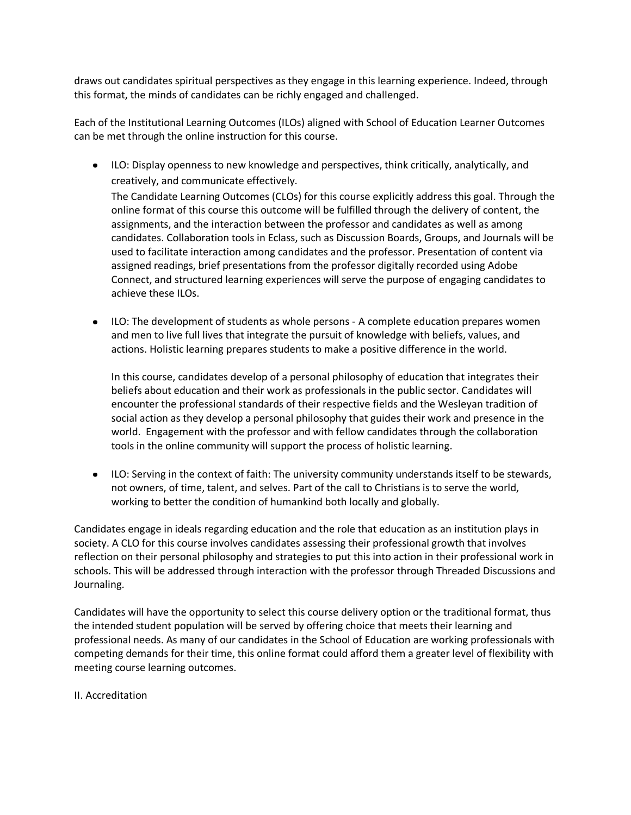draws out candidates spiritual perspectives as they engage in this learning experience. Indeed, through this format, the minds of candidates can be richly engaged and challenged.

Each of the Institutional Learning Outcomes (ILOs) aligned with School of Education Learner Outcomes can be met through the online instruction for this course.

- ILO: Display openness to new knowledge and perspectives, think critically, analytically, and creatively, and communicate effectively. The Candidate Learning Outcomes (CLOs) for this course explicitly address this goal. Through the online format of this course this outcome will be fulfilled through the delivery of content, the assignments, and the interaction between the professor and candidates as well as among candidates. Collaboration tools in Eclass, such as Discussion Boards, Groups, and Journals will be used to facilitate interaction among candidates and the professor. Presentation of content via assigned readings, brief presentations from the professor digitally recorded using Adobe Connect, and structured learning experiences will serve the purpose of engaging candidates to achieve these ILOs.
- ILO: The development of students as whole persons A complete education prepares women and men to live full lives that integrate the pursuit of knowledge with beliefs, values, and actions. Holistic learning prepares students to make a positive difference in the world.

In this course, candidates develop of a personal philosophy of education that integrates their beliefs about education and their work as professionals in the public sector. Candidates will encounter the professional standards of their respective fields and the Wesleyan tradition of social action as they develop a personal philosophy that guides their work and presence in the world. Engagement with the professor and with fellow candidates through the collaboration tools in the online community will support the process of holistic learning.

ILO: Serving in the context of faith: The university community understands itself to be stewards, not owners, of time, talent, and selves. Part of the call to Christians is to serve the world, working to better the condition of humankind both locally and globally.

Candidates engage in ideals regarding education and the role that education as an institution plays in society. A CLO for this course involves candidates assessing their professional growth that involves reflection on their personal philosophy and strategies to put this into action in their professional work in schools. This will be addressed through interaction with the professor through Threaded Discussions and Journaling.

Candidates will have the opportunity to select this course delivery option or the traditional format, thus the intended student population will be served by offering choice that meets their learning and professional needs. As many of our candidates in the School of Education are working professionals with competing demands for their time, this online format could afford them a greater level of flexibility with meeting course learning outcomes.

### II. Accreditation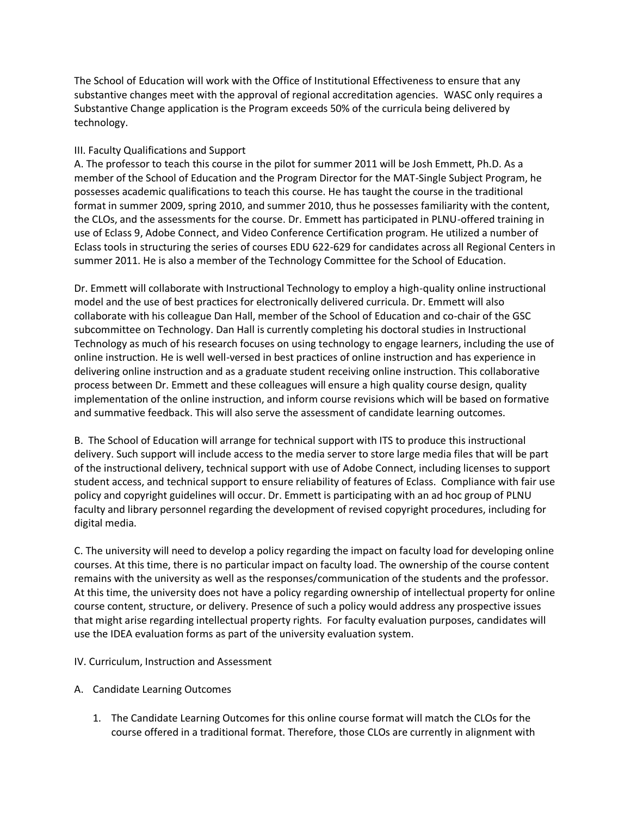The School of Education will work with the Office of Institutional Effectiveness to ensure that any substantive changes meet with the approval of regional accreditation agencies. WASC only requires a Substantive Change application is the Program exceeds 50% of the curricula being delivered by technology.

## III. Faculty Qualifications and Support

A. The professor to teach this course in the pilot for summer 2011 will be Josh Emmett, Ph.D. As a member of the School of Education and the Program Director for the MAT-Single Subject Program, he possesses academic qualifications to teach this course. He has taught the course in the traditional format in summer 2009, spring 2010, and summer 2010, thus he possesses familiarity with the content, the CLOs, and the assessments for the course. Dr. Emmett has participated in PLNU-offered training in use of Eclass 9, Adobe Connect, and Video Conference Certification program. He utilized a number of Eclass tools in structuring the series of courses EDU 622-629 for candidates across all Regional Centers in summer 2011. He is also a member of the Technology Committee for the School of Education.

Dr. Emmett will collaborate with Instructional Technology to employ a high-quality online instructional model and the use of best practices for electronically delivered curricula. Dr. Emmett will also collaborate with his colleague Dan Hall, member of the School of Education and co-chair of the GSC subcommittee on Technology. Dan Hall is currently completing his doctoral studies in Instructional Technology as much of his research focuses on using technology to engage learners, including the use of online instruction. He is well well-versed in best practices of online instruction and has experience in delivering online instruction and as a graduate student receiving online instruction. This collaborative process between Dr. Emmett and these colleagues will ensure a high quality course design, quality implementation of the online instruction, and inform course revisions which will be based on formative and summative feedback. This will also serve the assessment of candidate learning outcomes.

B. The School of Education will arrange for technical support with ITS to produce this instructional delivery. Such support will include access to the media server to store large media files that will be part of the instructional delivery, technical support with use of Adobe Connect, including licenses to support student access, and technical support to ensure reliability of features of Eclass. Compliance with fair use policy and copyright guidelines will occur. Dr. Emmett is participating with an ad hoc group of PLNU faculty and library personnel regarding the development of revised copyright procedures, including for digital media.

C. The university will need to develop a policy regarding the impact on faculty load for developing online courses. At this time, there is no particular impact on faculty load. The ownership of the course content remains with the university as well as the responses/communication of the students and the professor. At this time, the university does not have a policy regarding ownership of intellectual property for online course content, structure, or delivery. Presence of such a policy would address any prospective issues that might arise regarding intellectual property rights. For faculty evaluation purposes, candidates will use the IDEA evaluation forms as part of the university evaluation system.

### IV. Curriculum, Instruction and Assessment

- A. Candidate Learning Outcomes
	- 1. The Candidate Learning Outcomes for this online course format will match the CLOs for the course offered in a traditional format. Therefore, those CLOs are currently in alignment with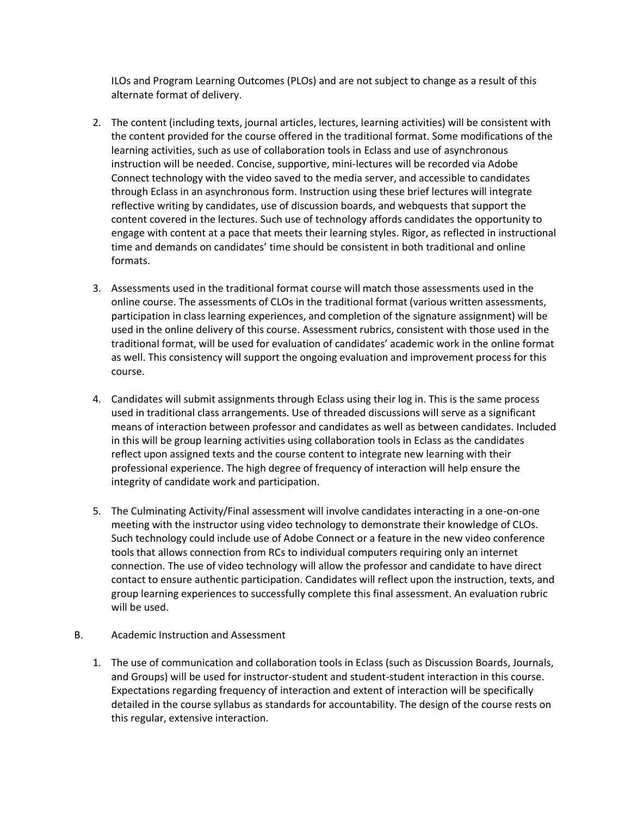ILOs and Program Learning Outcomes (PLOs) and are not subject to change as a result of this alternate format of delivery.

- 2. The content (including texts, journal articles, lectures, learning activities) will be consistent with the content provided for the course offered in the traditional format. Some modifications of the learning activities, such as use of collaboration tools in Eclass and use of asynchronous instruction will be needed. Concise, supportive, mini-lectures will be recorded via Adobe Connect technology with the video saved to the media server, and accessible to candidates through Eclass in an asynchronous form. Instruction using these brief lectures will integrate reflective writing by candidates, use of discussion boards, and webquests that support the content covered in the lectures. Such use of technology affords candidates the opportunity to engage with content at a pace that meets their learning styles. Rigor, as reflected in instructional time and demands on candidates' time should be consistent in both traditional and online formats.
- 3. Assessments used in the traditional format course will match those assessments used in the online course. The assessments of CLOs in the traditional format (various written assessments, participation in class learning experiences, and completion of the signature assignment) will be used in the online delivery of this course. Assessment rubrics, consistent with those used in the traditional format, will be used for evaluation of candidates' academic work in the online format as well. This consistency will support the ongoing evaluation and improvement process for this course.
- 4. Candidates will submit assignments through Eclass using their log in. This is the same process used in traditional class arrangements. Use of threaded discussions will serve as a significant means of interaction between professor and candidates as well as between candidates. Included in this will be group learning activities using collaboration tools in Eclass as the candidates reflect upon assigned texts and the course content to integrate new learning with their professional experience. The high degree of frequency of interaction will help ensure the integrity of candidate work and participation.
- 5. The Culminating Activity/Final assessment will involve candidates interacting in a one-on-one meeting with the instructor using video technology to demonstrate their knowledge of CLOs. Such technology could include use of Adobe Connect or a feature in the new video conference tools that allows connection from RCs to individual computers requiring only an internet connection. The use of video technology will allow the professor and candidate to have direct contact to ensure authentic participation. Candidates will reflect upon the instruction, texts, and group learning experiences to successfully complete this final assessment. An evaluation rubric will be used.
- B. Academic Instruction and Assessment
	- 1. The use of communication and collaboration tools in Eclass (such as Discussion Boards, Journals, and Groups) will be used for instructor-student and student-student interaction in this course. Expectations regarding frequency of interaction and extent of interaction will be specifically detailed in the course syllabus as standards for accountability. The design of the course rests on this regular, extensive interaction.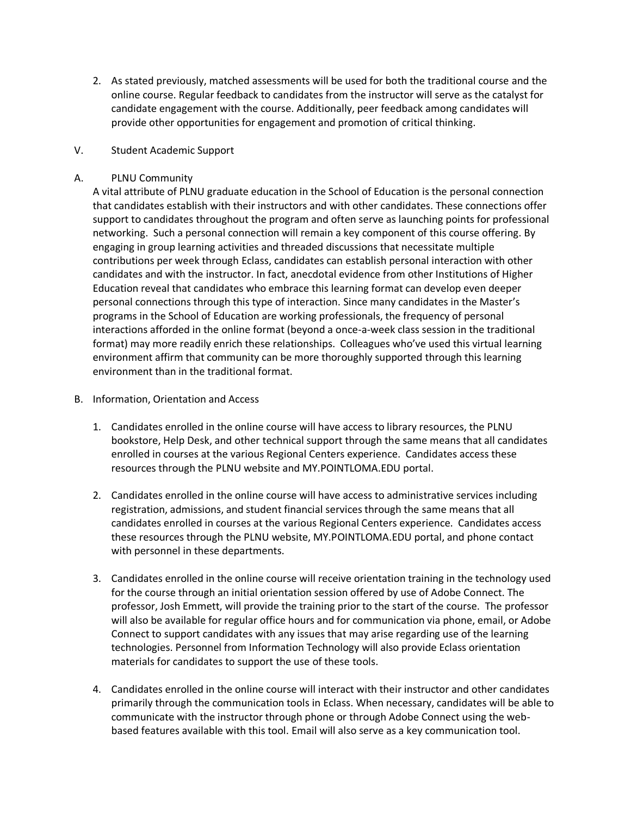2. As stated previously, matched assessments will be used for both the traditional course and the online course. Regular feedback to candidates from the instructor will serve as the catalyst for candidate engagement with the course. Additionally, peer feedback among candidates will provide other opportunities for engagement and promotion of critical thinking.

### V. Student Academic Support

### A. PLNU Community

A vital attribute of PLNU graduate education in the School of Education is the personal connection that candidates establish with their instructors and with other candidates. These connections offer support to candidates throughout the program and often serve as launching points for professional networking. Such a personal connection will remain a key component of this course offering. By engaging in group learning activities and threaded discussions that necessitate multiple contributions per week through Eclass, candidates can establish personal interaction with other candidates and with the instructor. In fact, anecdotal evidence from other Institutions of Higher Education reveal that candidates who embrace this learning format can develop even deeper personal connections through this type of interaction. Since many candidates in the Master's programs in the School of Education are working professionals, the frequency of personal interactions afforded in the online format (beyond a once-a-week class session in the traditional format) may more readily enrich these relationships. Colleagues who've used this virtual learning environment affirm that community can be more thoroughly supported through this learning environment than in the traditional format.

- B. Information, Orientation and Access
	- 1. Candidates enrolled in the online course will have access to library resources, the PLNU bookstore, Help Desk, and other technical support through the same means that all candidates enrolled in courses at the various Regional Centers experience. Candidates access these resources through the PLNU website and MY.POINTLOMA.EDU portal.
	- 2. Candidates enrolled in the online course will have access to administrative services including registration, admissions, and student financial services through the same means that all candidates enrolled in courses at the various Regional Centers experience. Candidates access these resources through the PLNU website, MY.POINTLOMA.EDU portal, and phone contact with personnel in these departments.
	- 3. Candidates enrolled in the online course will receive orientation training in the technology used for the course through an initial orientation session offered by use of Adobe Connect. The professor, Josh Emmett, will provide the training prior to the start of the course. The professor will also be available for regular office hours and for communication via phone, email, or Adobe Connect to support candidates with any issues that may arise regarding use of the learning technologies. Personnel from Information Technology will also provide Eclass orientation materials for candidates to support the use of these tools.
	- 4. Candidates enrolled in the online course will interact with their instructor and other candidates primarily through the communication tools in Eclass. When necessary, candidates will be able to communicate with the instructor through phone or through Adobe Connect using the webbased features available with this tool. Email will also serve as a key communication tool.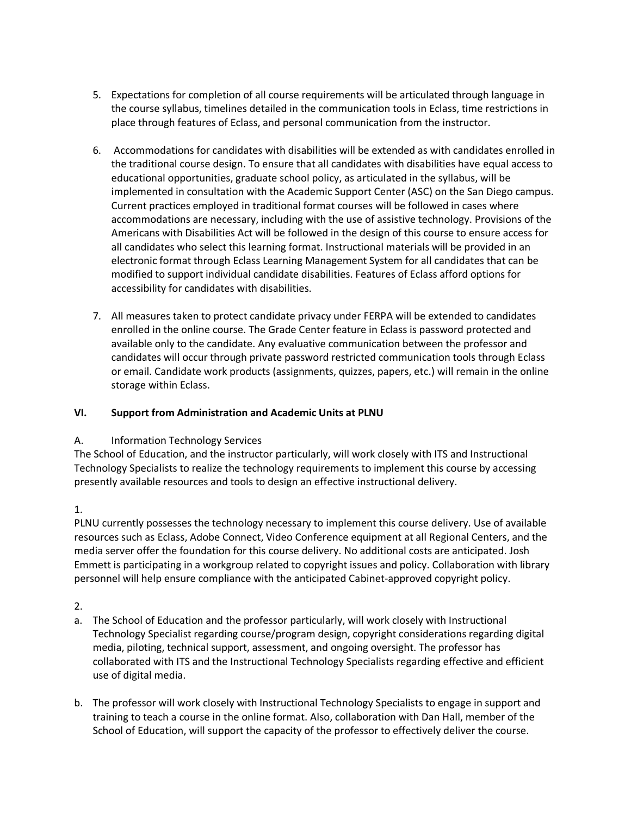- 5. Expectations for completion of all course requirements will be articulated through language in the course syllabus, timelines detailed in the communication tools in Eclass, time restrictions in place through features of Eclass, and personal communication from the instructor.
- 6. Accommodations for candidates with disabilities will be extended as with candidates enrolled in the traditional course design. To ensure that all candidates with disabilities have equal access to educational opportunities, graduate school policy, as articulated in the syllabus, will be implemented in consultation with the Academic Support Center (ASC) on the San Diego campus. Current practices employed in traditional format courses will be followed in cases where accommodations are necessary, including with the use of assistive technology. Provisions of the Americans with Disabilities Act will be followed in the design of this course to ensure access for all candidates who select this learning format. Instructional materials will be provided in an electronic format through Eclass Learning Management System for all candidates that can be modified to support individual candidate disabilities. Features of Eclass afford options for accessibility for candidates with disabilities.
- 7. All measures taken to protect candidate privacy under FERPA will be extended to candidates enrolled in the online course. The Grade Center feature in Eclass is password protected and available only to the candidate. Any evaluative communication between the professor and candidates will occur through private password restricted communication tools through Eclass or email. Candidate work products (assignments, quizzes, papers, etc.) will remain in the online storage within Eclass.

# **VI. Support from Administration and Academic Units at PLNU**

# A. Information Technology Services

The School of Education, and the instructor particularly, will work closely with ITS and Instructional Technology Specialists to realize the technology requirements to implement this course by accessing presently available resources and tools to design an effective instructional delivery.

1.

PLNU currently possesses the technology necessary to implement this course delivery. Use of available resources such as Eclass, Adobe Connect, Video Conference equipment at all Regional Centers, and the media server offer the foundation for this course delivery. No additional costs are anticipated. Josh Emmett is participating in a workgroup related to copyright issues and policy. Collaboration with library personnel will help ensure compliance with the anticipated Cabinet-approved copyright policy.

2.

- a. The School of Education and the professor particularly, will work closely with Instructional Technology Specialist regarding course/program design, copyright considerations regarding digital media, piloting, technical support, assessment, and ongoing oversight. The professor has collaborated with ITS and the Instructional Technology Specialists regarding effective and efficient use of digital media.
- b. The professor will work closely with Instructional Technology Specialists to engage in support and training to teach a course in the online format. Also, collaboration with Dan Hall, member of the School of Education, will support the capacity of the professor to effectively deliver the course.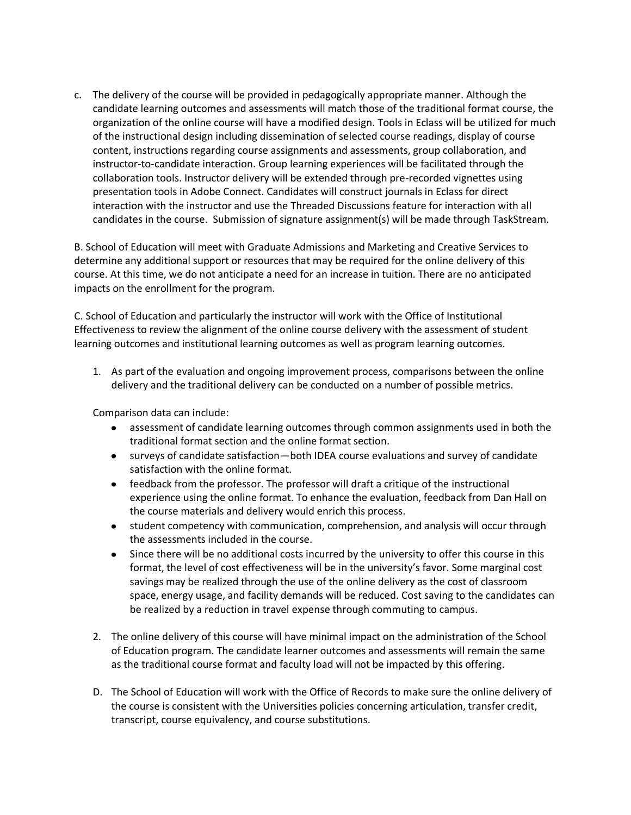c. The delivery of the course will be provided in pedagogically appropriate manner. Although the candidate learning outcomes and assessments will match those of the traditional format course, the organization of the online course will have a modified design. Tools in Eclass will be utilized for much of the instructional design including dissemination of selected course readings, display of course content, instructions regarding course assignments and assessments, group collaboration, and instructor-to-candidate interaction. Group learning experiences will be facilitated through the collaboration tools. Instructor delivery will be extended through pre-recorded vignettes using presentation tools in Adobe Connect. Candidates will construct journals in Eclass for direct interaction with the instructor and use the Threaded Discussions feature for interaction with all candidates in the course. Submission of signature assignment(s) will be made through TaskStream.

B. School of Education will meet with Graduate Admissions and Marketing and Creative Services to determine any additional support or resources that may be required for the online delivery of this course. At this time, we do not anticipate a need for an increase in tuition. There are no anticipated impacts on the enrollment for the program.

C. School of Education and particularly the instructor will work with the Office of Institutional Effectiveness to review the alignment of the online course delivery with the assessment of student learning outcomes and institutional learning outcomes as well as program learning outcomes.

1. As part of the evaluation and ongoing improvement process, comparisons between the online delivery and the traditional delivery can be conducted on a number of possible metrics.

Comparison data can include:

- assessment of candidate learning outcomes through common assignments used in both the  $\bullet$ traditional format section and the online format section.
- surveys of candidate satisfaction—both IDEA course evaluations and survey of candidate satisfaction with the online format.
- feedback from the professor. The professor will draft a critique of the instructional experience using the online format. To enhance the evaluation, feedback from Dan Hall on the course materials and delivery would enrich this process.
- student competency with communication, comprehension, and analysis will occur through the assessments included in the course.
- $\bullet$ Since there will be no additional costs incurred by the university to offer this course in this format, the level of cost effectiveness will be in the university's favor. Some marginal cost savings may be realized through the use of the online delivery as the cost of classroom space, energy usage, and facility demands will be reduced. Cost saving to the candidates can be realized by a reduction in travel expense through commuting to campus.
- 2. The online delivery of this course will have minimal impact on the administration of the School of Education program. The candidate learner outcomes and assessments will remain the same as the traditional course format and faculty load will not be impacted by this offering.
- D. The School of Education will work with the Office of Records to make sure the online delivery of the course is consistent with the Universities policies concerning articulation, transfer credit, transcript, course equivalency, and course substitutions.